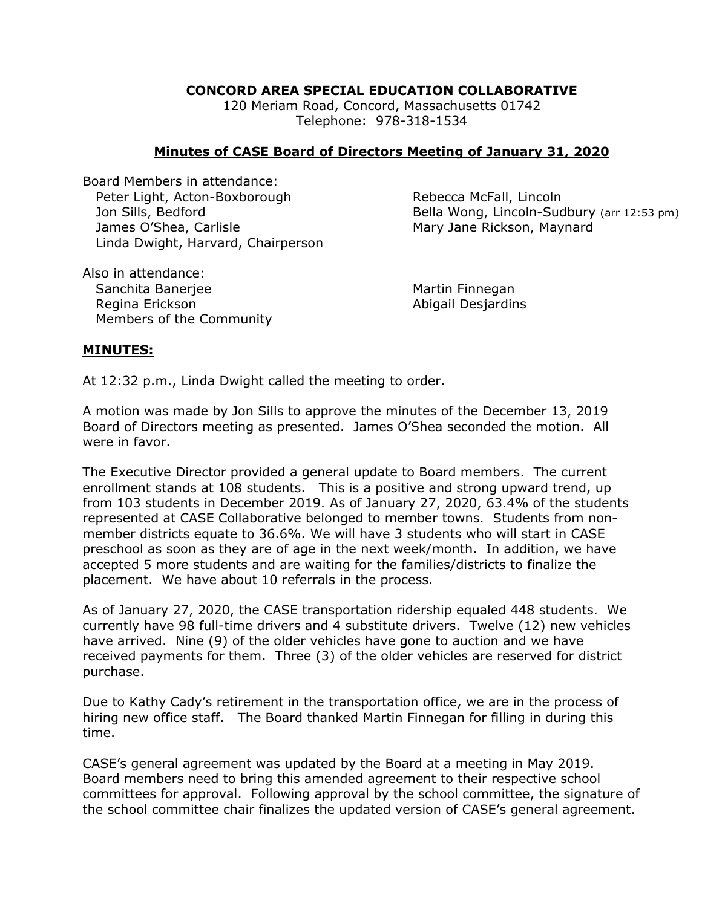## **CONCORD AREA SPECIAL EDUCATION COLLABORATIVE**

120 Meriam Road, Concord, Massachusetts 01742 Telephone: 978-318-1534

## **Minutes of CASE Board of Directors Meeting of January 31, 2020**

Board Members in attendance: Peter Light, Acton-Boxborough Rebecca McFall, Lincoln James O'Shea, Carlisle Mary Jane Rickson, Maynard Linda Dwight, Harvard, Chairperson

Jon Sills, Bedford **Bella Wong, Lincoln-Sudbury** (arr 12:53 pm)

Also in attendance: Sanchita Banerjee Martin Finnegan Regina Erickson **Abigail Desjardins** Members of the Community

## **MINUTES:**

At 12:32 p.m., Linda Dwight called the meeting to order.

A motion was made by Jon Sills to approve the minutes of the December 13, 2019 Board of Directors meeting as presented. James O'Shea seconded the motion. All were in favor.

The Executive Director provided a general update to Board members. The current enrollment stands at 108 students. This is a positive and strong upward trend, up from 103 students in December 2019. As of January 27, 2020, 63.4% of the students represented at CASE Collaborative belonged to member towns. Students from nonmember districts equate to 36.6%. We will have 3 students who will start in CASE preschool as soon as they are of age in the next week/month. In addition, we have accepted 5 more students and are waiting for the families/districts to finalize the placement. We have about 10 referrals in the process.

As of January 27, 2020, the CASE transportation ridership equaled 448 students. We currently have 98 full-time drivers and 4 substitute drivers. Twelve (12) new vehicles have arrived. Nine (9) of the older vehicles have gone to auction and we have received payments for them. Three (3) of the older vehicles are reserved for district purchase.

Due to Kathy Cady's retirement in the transportation office, we are in the process of hiring new office staff. The Board thanked Martin Finnegan for filling in during this time.

CASE's general agreement was updated by the Board at a meeting in May 2019. Board members need to bring this amended agreement to their respective school committees for approval. Following approval by the school committee, the signature of the school committee chair finalizes the updated version of CASE's general agreement.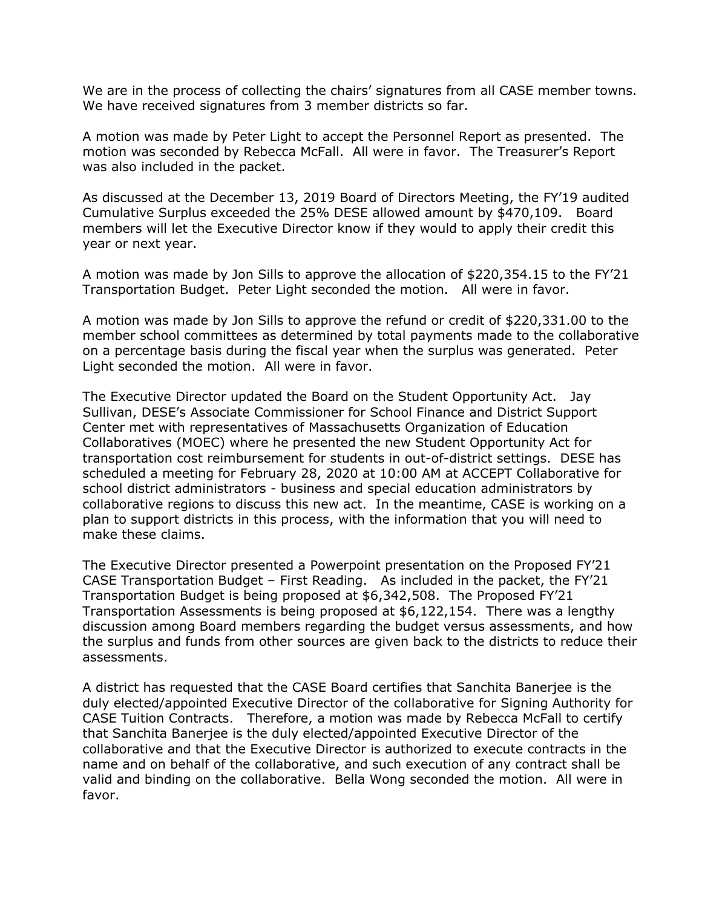We are in the process of collecting the chairs' signatures from all CASE member towns. We have received signatures from 3 member districts so far.

A motion was made by Peter Light to accept the Personnel Report as presented. The motion was seconded by Rebecca McFall. All were in favor. The Treasurer's Report was also included in the packet.

As discussed at the December 13, 2019 Board of Directors Meeting, the FY'19 audited Cumulative Surplus exceeded the 25% DESE allowed amount by \$470,109. Board members will let the Executive Director know if they would to apply their credit this year or next year.

A motion was made by Jon Sills to approve the allocation of \$220,354.15 to the FY'21 Transportation Budget. Peter Light seconded the motion. All were in favor.

A motion was made by Jon Sills to approve the refund or credit of \$220,331.00 to the member school committees as determined by total payments made to the collaborative on a percentage basis during the fiscal year when the surplus was generated. Peter Light seconded the motion. All were in favor.

The Executive Director updated the Board on the Student Opportunity Act. Jay Sullivan, DESE's Associate Commissioner for School Finance and District Support Center met with representatives of Massachusetts Organization of Education Collaboratives (MOEC) where he presented the new Student Opportunity Act for transportation cost reimbursement for students in out-of-district settings. DESE has scheduled a meeting for February 28, 2020 at 10:00 AM at ACCEPT Collaborative for school district administrators - business and special education administrators by collaborative regions to discuss this new act. In the meantime, CASE is working on a plan to support districts in this process, with the information that you will need to make these claims.

The Executive Director presented a Powerpoint presentation on the Proposed FY'21 CASE Transportation Budget – First Reading. As included in the packet, the FY'21 Transportation Budget is being proposed at \$6,342,508. The Proposed FY'21 Transportation Assessments is being proposed at \$6,122,154. There was a lengthy discussion among Board members regarding the budget versus assessments, and how the surplus and funds from other sources are given back to the districts to reduce their assessments.

A district has requested that the CASE Board certifies that Sanchita Banerjee is the duly elected/appointed Executive Director of the collaborative for Signing Authority for CASE Tuition Contracts. Therefore, a motion was made by Rebecca McFall to certify that Sanchita Banerjee is the duly elected/appointed Executive Director of the collaborative and that the Executive Director is authorized to execute contracts in the name and on behalf of the collaborative, and such execution of any contract shall be valid and binding on the collaborative. Bella Wong seconded the motion. All were in favor.